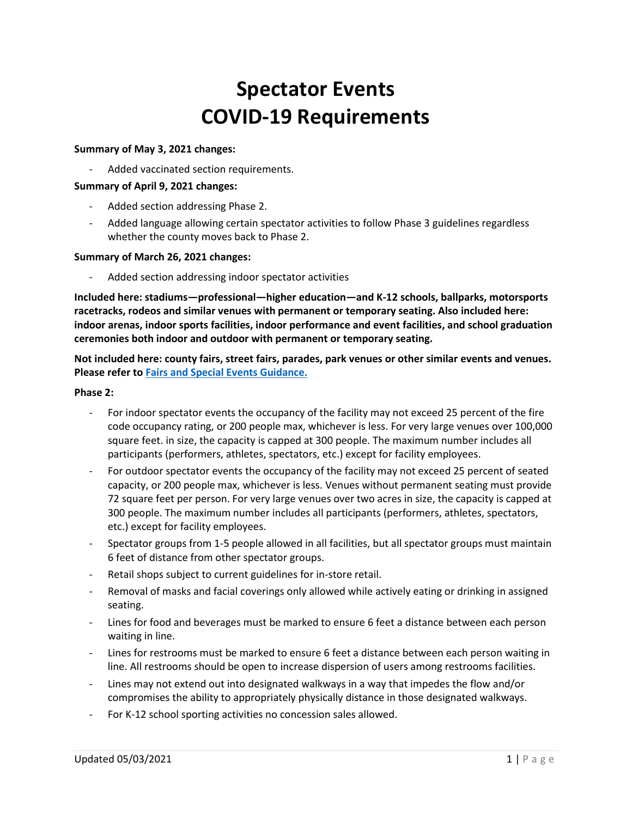# **Spectator Events COVID-19 Requirements**

#### **Summary of May 3, 2021 changes:**

- Added vaccinated section requirements.

#### **Summary of April 9, 2021 changes:**

- Added section addressing Phase 2.
- Added language allowing certain spectator activities to follow Phase 3 guidelines regardless whether the county moves back to Phase 2.

#### **Summary of March 26, 2021 changes:**

Added section addressing indoor spectator activities

**Included here: stadiums—professional—higher education—and K-12 schools, ballparks, motorsports racetracks, rodeos and similar venues with permanent or temporary seating. Also included here: indoor arenas, indoor sports facilities, indoor performance and event facilities, and school graduation ceremonies both indoor and outdoor with permanent or temporary seating.**

**Not included here: county fairs, street fairs, parades, park venues or other similar events and venues. Please refer to [Fairs and Special Events Guidance.](https://www.governor.wa.gov/sites/default/files/COVID19%20Fairs%20and%20Special%20Events%20Guidance.pdf)**

#### **Phase 2:**

- For indoor spectator events the occupancy of the facility may not exceed 25 percent of the fire code occupancy rating, or 200 people max, whichever is less. For very large venues over 100,000 square feet. in size, the capacity is capped at 300 people. The maximum number includes all participants (performers, athletes, spectators, etc.) except for facility employees.
- For outdoor spectator events the occupancy of the facility may not exceed 25 percent of seated capacity, or 200 people max, whichever is less. Venues without permanent seating must provide 72 square feet per person. For very large venues over two acres in size, the capacity is capped at 300 people. The maximum number includes all participants (performers, athletes, spectators, etc.) except for facility employees.
- Spectator groups from 1-5 people allowed in all facilities, but all spectator groups must maintain 6 feet of distance from other spectator groups.
- Retail shops subject to current guidelines for in-store retail.
- Removal of masks and facial coverings only allowed while actively eating or drinking in assigned seating.
- Lines for food and beverages must be marked to ensure 6 feet a distance between each person waiting in line.
- Lines for restrooms must be marked to ensure 6 feet a distance between each person waiting in line. All restrooms should be open to increase dispersion of users among restrooms facilities.
- Lines may not extend out into designated walkways in a way that impedes the flow and/or compromises the ability to appropriately physically distance in those designated walkways.
- For K-12 school sporting activities no concession sales allowed.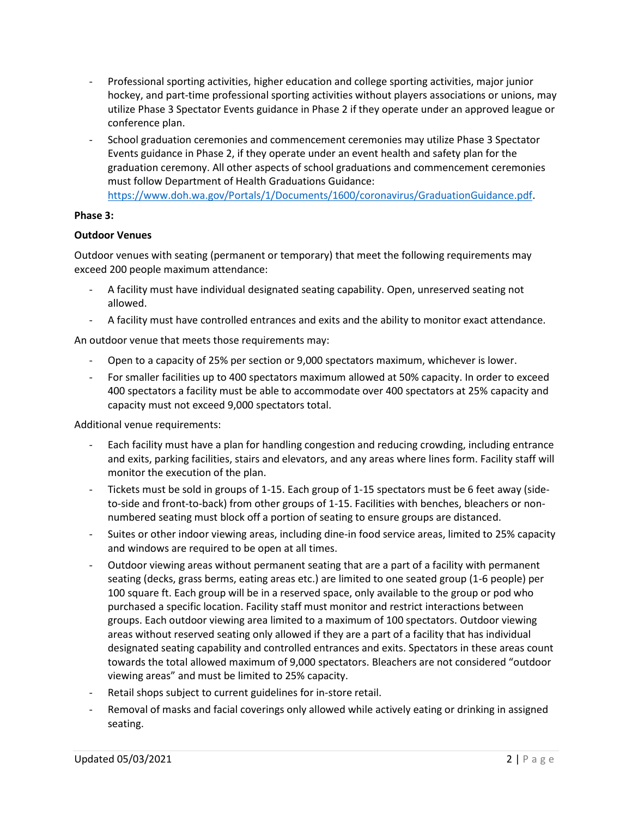- Professional sporting activities, higher education and college sporting activities, major junior hockey, and part-time professional sporting activities without players associations or unions, may utilize Phase 3 Spectator Events guidance in Phase 2 if they operate under an approved league or conference plan.
- School graduation ceremonies and commencement ceremonies may utilize Phase 3 Spectator Events guidance in Phase 2, if they operate under an event health and safety plan for the graduation ceremony. All other aspects of school graduations and commencement ceremonies must follow Department of Health Graduations Guidance: [https://www.doh.wa.gov/Portals/1/Documents/1600/coronavirus/GraduationGuidance.pdf.](https://gcc02.safelinks.protection.outlook.com/?url=https%3A%2F%2Fwww.doh.wa.gov%2FPortals%2F1%2FDocuments%2F1600%2Fcoronavirus%2FGraduationGuidance.pdf&data=04%7C01%7Cjon.snyder%40gov.wa.gov%7C35c1f6b51ad14464163108d8fa40ca40%7C11d0e217264e400a8ba057dcc127d72d%7C0%7C0%7C637534503474862417%7CUnknown%7CTWFpbGZsb3d8eyJWIjoiMC4wLjAwMDAiLCJQIjoiV2luMzIiLCJBTiI6Ik1haWwiLCJXVCI6Mn0%3D%7C1000&sdata=9Rizzmaaa9K5X4SmTG6l9U18WGXYVqJHDTAamz1jons%3D&reserved=0)

# **Phase 3:**

## **Outdoor Venues**

Outdoor venues with seating (permanent or temporary) that meet the following requirements may exceed 200 people maximum attendance:

- A facility must have individual designated seating capability. Open, unreserved seating not allowed.
- A facility must have controlled entrances and exits and the ability to monitor exact attendance.

An outdoor venue that meets those requirements may:

- Open to a capacity of 25% per section or 9,000 spectators maximum, whichever is lower.
- For smaller facilities up to 400 spectators maximum allowed at 50% capacity. In order to exceed 400 spectators a facility must be able to accommodate over 400 spectators at 25% capacity and capacity must not exceed 9,000 spectators total.

Additional venue requirements:

- Each facility must have a plan for handling congestion and reducing crowding, including entrance and exits, parking facilities, stairs and elevators, and any areas where lines form. Facility staff will monitor the execution of the plan.
- Tickets must be sold in groups of 1-15. Each group of 1-15 spectators must be 6 feet away (sideto-side and front-to-back) from other groups of 1-15. Facilities with benches, bleachers or nonnumbered seating must block off a portion of seating to ensure groups are distanced.
- Suites or other indoor viewing areas, including dine-in food service areas, limited to 25% capacity and windows are required to be open at all times.
- Outdoor viewing areas without permanent seating that are a part of a facility with permanent seating (decks, grass berms, eating areas etc.) are limited to one seated group (1-6 people) per 100 square ft. Each group will be in a reserved space, only available to the group or pod who purchased a specific location. Facility staff must monitor and restrict interactions between groups. Each outdoor viewing area limited to a maximum of 100 spectators. Outdoor viewing areas without reserved seating only allowed if they are a part of a facility that has individual designated seating capability and controlled entrances and exits. Spectators in these areas count towards the total allowed maximum of 9,000 spectators. Bleachers are not considered "outdoor viewing areas" and must be limited to 25% capacity.
- Retail shops subject to current guidelines for in-store retail.
- Removal of masks and facial coverings only allowed while actively eating or drinking in assigned seating.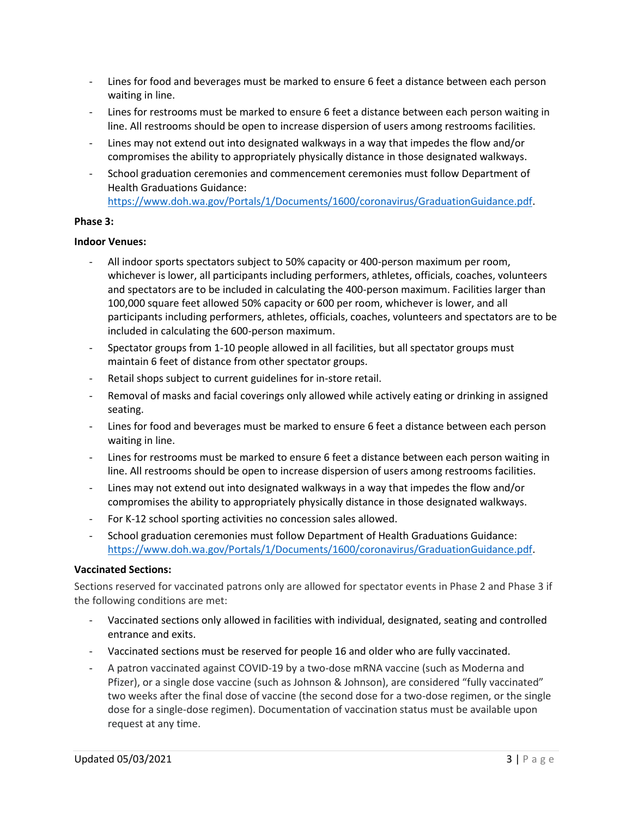- Lines for food and beverages must be marked to ensure 6 feet a distance between each person waiting in line.
- Lines for restrooms must be marked to ensure 6 feet a distance between each person waiting in line. All restrooms should be open to increase dispersion of users among restrooms facilities.
- Lines may not extend out into designated walkways in a way that impedes the flow and/or compromises the ability to appropriately physically distance in those designated walkways.
- School graduation ceremonies and commencement ceremonies must follow Department of Health Graduations Guidance: [https://www.doh.wa.gov/Portals/1/Documents/1600/coronavirus/GraduationGuidance.pdf.](https://gcc02.safelinks.protection.outlook.com/?url=https%3A%2F%2Fwww.doh.wa.gov%2FPortals%2F1%2FDocuments%2F1600%2Fcoronavirus%2FGraduationGuidance.pdf&data=04%7C01%7Cjon.snyder%40gov.wa.gov%7C35c1f6b51ad14464163108d8fa40ca40%7C11d0e217264e400a8ba057dcc127d72d%7C0%7C0%7C637534503474862417%7CUnknown%7CTWFpbGZsb3d8eyJWIjoiMC4wLjAwMDAiLCJQIjoiV2luMzIiLCJBTiI6Ik1haWwiLCJXVCI6Mn0%3D%7C1000&sdata=9Rizzmaaa9K5X4SmTG6l9U18WGXYVqJHDTAamz1jons%3D&reserved=0)

## **Phase 3:**

## **Indoor Venues:**

- All indoor sports spectators subject to 50% capacity or 400-person maximum per room, whichever is lower, all participants including performers, athletes, officials, coaches, volunteers and spectators are to be included in calculating the 400-person maximum. Facilities larger than 100,000 square feet allowed 50% capacity or 600 per room, whichever is lower, and all participants including performers, athletes, officials, coaches, volunteers and spectators are to be included in calculating the 600-person maximum.
- Spectator groups from 1-10 people allowed in all facilities, but all spectator groups must maintain 6 feet of distance from other spectator groups.
- Retail shops subject to current guidelines for in-store retail.
- Removal of masks and facial coverings only allowed while actively eating or drinking in assigned seating.
- Lines for food and beverages must be marked to ensure 6 feet a distance between each person waiting in line.
- Lines for restrooms must be marked to ensure 6 feet a distance between each person waiting in line. All restrooms should be open to increase dispersion of users among restrooms facilities.
- Lines may not extend out into designated walkways in a way that impedes the flow and/or compromises the ability to appropriately physically distance in those designated walkways.
- For K-12 school sporting activities no concession sales allowed.
- School graduation ceremonies must follow Department of Health Graduations Guidance: [https://www.doh.wa.gov/Portals/1/Documents/1600/coronavirus/GraduationGuidance.pdf.](https://gcc02.safelinks.protection.outlook.com/?url=https%3A%2F%2Fwww.doh.wa.gov%2FPortals%2F1%2FDocuments%2F1600%2Fcoronavirus%2FGraduationGuidance.pdf&data=04%7C01%7Cjon.snyder%40gov.wa.gov%7C35c1f6b51ad14464163108d8fa40ca40%7C11d0e217264e400a8ba057dcc127d72d%7C0%7C0%7C637534503474862417%7CUnknown%7CTWFpbGZsb3d8eyJWIjoiMC4wLjAwMDAiLCJQIjoiV2luMzIiLCJBTiI6Ik1haWwiLCJXVCI6Mn0%3D%7C1000&sdata=9Rizzmaaa9K5X4SmTG6l9U18WGXYVqJHDTAamz1jons%3D&reserved=0)

## **Vaccinated Sections:**

Sections reserved for vaccinated patrons only are allowed for spectator events in Phase 2 and Phase 3 if the following conditions are met:

- Vaccinated sections only allowed in facilities with individual, designated, seating and controlled entrance and exits.
- Vaccinated sections must be reserved for people 16 and older who are fully vaccinated.
- A patron vaccinated against COVID-19 by a two-dose mRNA vaccine (such as Moderna and Pfizer), or a single dose vaccine (such as Johnson & Johnson), are considered "fully vaccinated" two weeks after the final dose of vaccine (the second dose for a two-dose regimen, or the single dose for a single-dose regimen). Documentation of vaccination status must be available upon request at any time.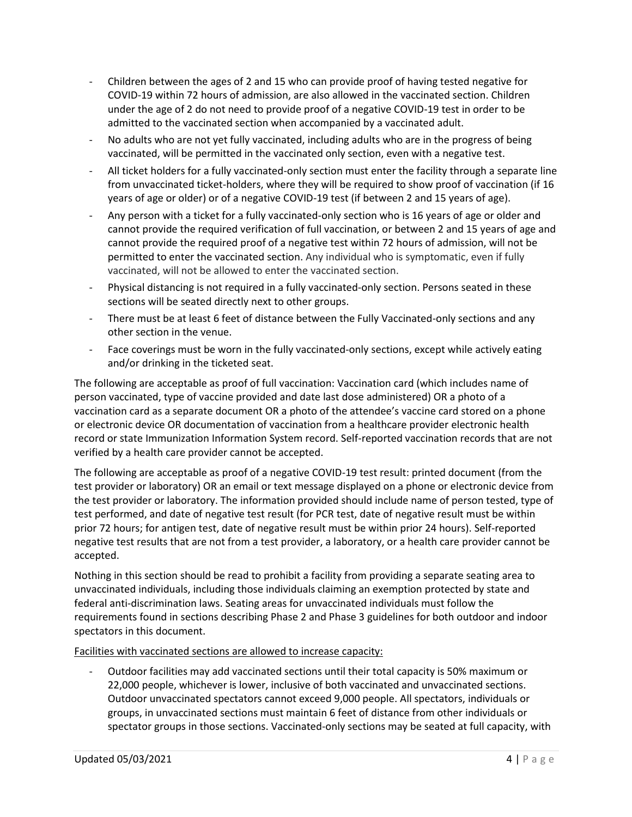- Children between the ages of 2 and 15 who can provide proof of having tested negative for COVID-19 within 72 hours of admission, are also allowed in the vaccinated section. Children under the age of 2 do not need to provide proof of a negative COVID-19 test in order to be admitted to the vaccinated section when accompanied by a vaccinated adult.
- No adults who are not yet fully vaccinated, including adults who are in the progress of being vaccinated, will be permitted in the vaccinated only section, even with a negative test.
- All ticket holders for a fully vaccinated-only section must enter the facility through a separate line from unvaccinated ticket-holders, where they will be required to show proof of vaccination (if 16 years of age or older) or of a negative COVID-19 test (if between 2 and 15 years of age).
- Any person with a ticket for a fully vaccinated-only section who is 16 years of age or older and cannot provide the required verification of full vaccination, or between 2 and 15 years of age and cannot provide the required proof of a negative test within 72 hours of admission, will not be permitted to enter the vaccinated section. Any individual who is symptomatic, even if fully vaccinated, will not be allowed to enter the vaccinated section.
- Physical distancing is not required in a fully vaccinated-only section. Persons seated in these sections will be seated directly next to other groups.
- There must be at least 6 feet of distance between the Fully Vaccinated-only sections and any other section in the venue.
- Face coverings must be worn in the fully vaccinated-only sections, except while actively eating and/or drinking in the ticketed seat.

The following are acceptable as proof of full vaccination: Vaccination card (which includes name of person vaccinated, type of vaccine provided and date last dose administered) OR a photo of a vaccination card as a separate document OR a photo of the attendee's vaccine card stored on a phone or electronic device OR documentation of vaccination from a healthcare provider electronic health record or state Immunization Information System record. Self-reported vaccination records that are not verified by a health care provider cannot be accepted.

The following are acceptable as proof of a negative COVID-19 test result: printed document (from the test provider or laboratory) OR an email or text message displayed on a phone or electronic device from the test provider or laboratory. The information provided should include name of person tested, type of test performed, and date of negative test result (for PCR test, date of negative result must be within prior 72 hours; for antigen test, date of negative result must be within prior 24 hours). Self-reported negative test results that are not from a test provider, a laboratory, or a health care provider cannot be accepted.

Nothing in this section should be read to prohibit a facility from providing a separate seating area to unvaccinated individuals, including those individuals claiming an exemption protected by state and federal anti-discrimination laws. Seating areas for unvaccinated individuals must follow the requirements found in sections describing Phase 2 and Phase 3 guidelines for both outdoor and indoor spectators in this document.

Facilities with vaccinated sections are allowed to increase capacity:

- Outdoor facilities may add vaccinated sections until their total capacity is 50% maximum or 22,000 people, whichever is lower, inclusive of both vaccinated and unvaccinated sections. Outdoor unvaccinated spectators cannot exceed 9,000 people. All spectators, individuals or groups, in unvaccinated sections must maintain 6 feet of distance from other individuals or spectator groups in those sections. Vaccinated-only sections may be seated at full capacity, with